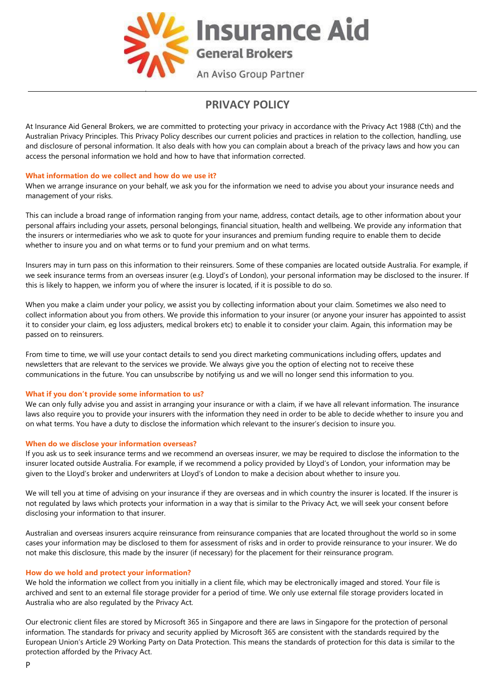

# **PRIVACY POLICY**

At Insurance Aid General Brokers, we are committed to protecting your privacy in accordance with the Privacy Act 1988 (Cth) and the Australian Privacy Principles. This Privacy Policy describes our current policies and practices in relation to the collection, handling, use and disclosure of personal information. It also deals with how you can complain about a breach of the privacy laws and how you can access the personal information we hold and how to have that information corrected.

# **What information do we collect and how do we use it?**

When we arrange insurance on your behalf, we ask you for the information we need to advise you about your insurance needs and management of your risks.

This can include a broad range of information ranging from your name, address, contact details, age to other information about your personal affairs including your assets, personal belongings, financial situation, health and wellbeing. We provide any information that the insurers or intermediaries who we ask to quote for your insurances and premium funding require to enable them to decide whether to insure you and on what terms or to fund your premium and on what terms.

Insurers may in turn pass on this information to their reinsurers. Some of these companies are located outside Australia. For example, if we seek insurance terms from an overseas insurer (e.g. Lloyd's of London), your personal information may be disclosed to the insurer. If this is likely to happen, we inform you of where the insurer is located, if it is possible to do so.

When you make a claim under your policy, we assist you by collecting information about your claim. Sometimes we also need to collect information about you from others. We provide this information to your insurer (or anyone your insurer has appointed to assist it to consider your claim, eg loss adjusters, medical brokers etc) to enable it to consider your claim. Again, this information may be passed on to reinsurers.

From time to time, we will use your contact details to send you direct marketing communications including offers, updates and newsletters that are relevant to the services we provide. We always give you the option of electing not to receive these communications in the future. You can unsubscribe by notifying us and we will no longer send this information to you.

# **What if you don't provide some information to us?**

We can only fully advise you and assist in arranging your insurance or with a claim, if we have all relevant information. The insurance laws also require you to provide your insurers with the information they need in order to be able to decide whether to insure you and on what terms. You have a duty to disclose the information which relevant to the insurer's decision to insure you.

### **When do we disclose your information overseas?**

If you ask us to seek insurance terms and we recommend an overseas insurer, we may be required to disclose the information to the insurer located outside Australia. For example, if we recommend a policy provided by Lloyd's of London, your information may be given to the Lloyd's broker and underwriters at Lloyd's of London to make a decision about whether to insure you.

We will tell you at time of advising on your insurance if they are overseas and in which country the insurer is located. If the insurer is not regulated by laws which protects your information in a way that is similar to the Privacy Act, we will seek your consent before disclosing your information to that insurer.

Australian and overseas insurers acquire reinsurance from reinsurance companies that are located throughout the world so in some cases your information may be disclosed to them for assessment of risks and in order to provide reinsurance to your insurer. We do not make this disclosure, this made by the insurer (if necessary) for the placement for their reinsurance program.

# **How do we hold and protect your information?**

We hold the information we collect from you initially in a client file, which may be electronically imaged and stored. Your file is archived and sent to an external file storage provider for a period of time. We only use external file storage providers located in Australia who are also regulated by the Privacy Act.

Our electronic client files are stored by Microsoft 365 in Singapore and there are laws in Singapore for the protection of personal information. The standards for privacy and security applied by Microsoft 365 are consistent with the standards required by the European Union's Article 29 Working Party on Data Protection. This means the standards of protection for this data is similar to the protection afforded by the Privacy Act.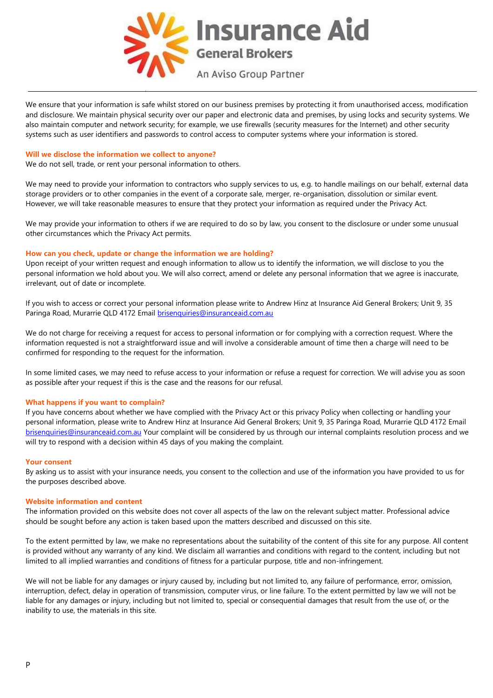

We ensure that your information is safe whilst stored on our business premises by protecting it from unauthorised access, modification and disclosure. We maintain physical security over our paper and electronic data and premises, by using locks and security systems. We also maintain computer and network security; for example, we use firewalls (security measures for the Internet) and other security systems such as user identifiers and passwords to control access to computer systems where your information is stored.

## **Will we disclose the information we collect to anyone?**

We do not sell, trade, or rent your personal information to others.

We may need to provide your information to contractors who supply services to us, e.g. to handle mailings on our behalf, external data storage providers or to other companies in the event of a corporate sale, merger, re-organisation, dissolution or similar event. However, we will take reasonable measures to ensure that they protect your information as required under the Privacy Act.

We may provide your information to others if we are required to do so by law, you consent to the disclosure or under some unusual other circumstances which the Privacy Act permits.

## **How can you check, update or change the information we are holding?**

Upon receipt of your written request and enough information to allow us to identify the information, we will disclose to you the personal information we hold about you. We will also correct, amend or delete any personal information that we agree is inaccurate, irrelevant, out of date or incomplete.

If you wish to access or correct your personal information please write to Andrew Hinz at Insurance Aid General Brokers; Unit 9, 35 Paringa Road, Murarrie QLD 4172 Email [brisenquiries@insuranceaid.com.au](mailto:brisenquiries@insuranceaid.com.au)

We do not charge for receiving a request for access to personal information or for complying with a correction request. Where the information requested is not a straightforward issue and will involve a considerable amount of time then a charge will need to be confirmed for responding to the request for the information.

In some limited cases, we may need to refuse access to your information or refuse a request for correction. We will advise you as soon as possible after your request if this is the case and the reasons for our refusal.

### **What happens if you want to complain?**

If you have concerns about whether we have complied with the Privacy Act or this privacy Policy when collecting or handling your personal information, please write to Andrew Hinz at Insurance Aid General Brokers; Unit 9, 35 Paringa Road, Murarrie QLD 4172 Email [brisenquiries@insuranceaid.com.au](mailto:brisenquiries@insuranceaid.com.au) Your complaint will be considered by us through our internal complaints resolution process and we will try to respond with a decision within 45 days of you making the complaint.

### **Your consent**

By asking us to assist with your insurance needs, you consent to the collection and use of the information you have provided to us for the purposes described above.

## **Website information and content**

The information provided on this website does not cover all aspects of the law on the relevant subject matter. Professional advice should be sought before any action is taken based upon the matters described and discussed on this site.

To the extent permitted by law, we make no representations about the suitability of the content of this site for any purpose. All content is provided without any warranty of any kind. We disclaim all warranties and conditions with regard to the content, including but not limited to all implied warranties and conditions of fitness for a particular purpose, title and non-infringement.

We will not be liable for any damages or injury caused by, including but not limited to, any failure of performance, error, omission, interruption, defect, delay in operation of transmission, computer virus, or line failure. To the extent permitted by law we will not be liable for any damages or injury, including but not limited to, special or consequential damages that result from the use of, or the inability to use, the materials in this site.